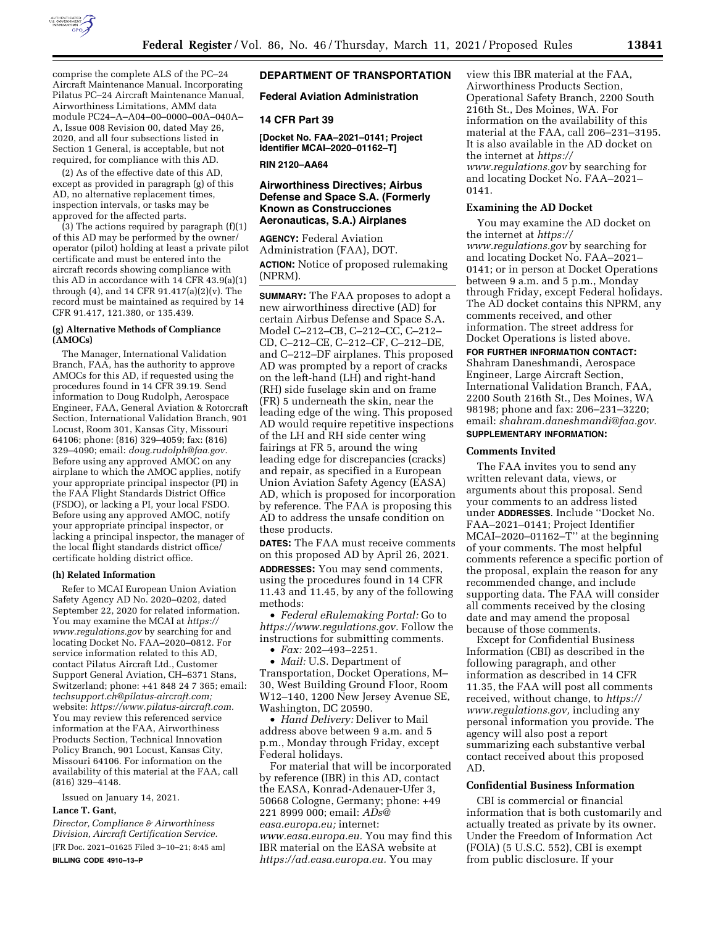

comprise the complete ALS of the PC–24 Aircraft Maintenance Manual. Incorporating Pilatus PC–24 Aircraft Maintenance Manual, Airworthiness Limitations, AMM data module PC24–A–A04–00–0000–00A–040A– A, Issue 008 Revision 00, dated May 26, 2020, and all four subsections listed in Section 1 General, is acceptable, but not required, for compliance with this AD.

(2) As of the effective date of this AD, except as provided in paragraph (g) of this AD, no alternative replacement times, inspection intervals, or tasks may be approved for the affected parts.

(3) The actions required by paragraph (f)(1) of this AD may be performed by the owner/ operator (pilot) holding at least a private pilot certificate and must be entered into the aircraft records showing compliance with this AD in accordance with 14 CFR 43.9(a)(1) through (4), and 14 CFR 91.417(a)(2)(v). The record must be maintained as required by 14 CFR 91.417, 121.380, or 135.439.

#### **(g) Alternative Methods of Compliance (AMOCs)**

The Manager, International Validation Branch, FAA, has the authority to approve AMOCs for this AD, if requested using the procedures found in 14 CFR 39.19. Send information to Doug Rudolph, Aerospace Engineer, FAA, General Aviation & Rotorcraft Section, International Validation Branch, 901 Locust, Room 301, Kansas City, Missouri 64106; phone: (816) 329–4059; fax: (816) 329–4090; email: *[doug.rudolph@faa.gov.](mailto:doug.rudolph@faa.gov)*  Before using any approved AMOC on any airplane to which the AMOC applies, notify your appropriate principal inspector (PI) in the FAA Flight Standards District Office (FSDO), or lacking a PI, your local FSDO. Before using any approved AMOC, notify your appropriate principal inspector, or lacking a principal inspector, the manager of the local flight standards district office/ certificate holding district office.

#### **(h) Related Information**

Refer to MCAI European Union Aviation Safety Agency AD No. 2020–0202, dated September 22, 2020 for related information. You may examine the MCAI at *[https://](https://www.regulations.gov) [www.regulations.gov](https://www.regulations.gov)* by searching for and locating Docket No. FAA–2020–0812. For service information related to this AD, contact Pilatus Aircraft Ltd., Customer Support General Aviation, CH–6371 Stans, Switzerland; phone: +41 848 24 7 365; email: *[techsupport.ch@pilatus-aircraft.com;](mailto:techsupport.ch@pilatus-aircraft.com)*  website: *[https://www.pilatus-aircraft.com.](https://www.pilatus-aircraft.com)*  You may review this referenced service information at the FAA, Airworthiness Products Section, Technical Innovation Policy Branch, 901 Locust, Kansas City, Missouri 64106. For information on the availability of this material at the FAA, call (816) 329–4148.

Issued on January 14, 2021.

# **Lance T. Gant,**

*Director, Compliance & Airworthiness Division, Aircraft Certification Service.*  [FR Doc. 2021–01625 Filed 3–10–21; 8:45 am] **BILLING CODE 4910–13–P** 

# **DEPARTMENT OF TRANSPORTATION**

### **Federal Aviation Administration**

### **14 CFR Part 39**

**[Docket No. FAA–2021–0141; Project Identifier MCAI–2020–01162–T]** 

**RIN 2120–AA64** 

# **Airworthiness Directives; Airbus Defense and Space S.A. (Formerly Known as Construcciones Aeronauticas, S.A.) Airplanes**

**AGENCY:** Federal Aviation Administration (FAA), DOT. **ACTION:** Notice of proposed rulemaking (NPRM).

**SUMMARY:** The FAA proposes to adopt a new airworthiness directive (AD) for certain Airbus Defense and Space S.A. Model C–212–CB, C–212–CC, C–212– CD, C–212–CE, C–212–CF, C–212–DE, and C–212–DF airplanes. This proposed AD was prompted by a report of cracks on the left-hand (LH) and right-hand (RH) side fuselage skin and on frame (FR) 5 underneath the skin, near the leading edge of the wing. This proposed AD would require repetitive inspections of the LH and RH side center wing fairings at FR 5, around the wing leading edge for discrepancies (cracks) and repair, as specified in a European Union Aviation Safety Agency (EASA) AD, which is proposed for incorporation by reference. The FAA is proposing this AD to address the unsafe condition on these products.

**DATES:** The FAA must receive comments on this proposed AD by April 26, 2021. **ADDRESSES:** You may send comments, using the procedures found in 14 CFR 11.43 and 11.45, by any of the following methods:

• *Federal eRulemaking Portal:* Go to *[https://www.regulations.gov.](https://www.regulations.gov)* Follow the instructions for submitting comments.

• *Fax:* 202–493–2251.

• *Mail:* U.S. Department of Transportation, Docket Operations, M– 30, West Building Ground Floor, Room W12–140, 1200 New Jersey Avenue SE, Washington, DC 20590.

• *Hand Delivery:* Deliver to Mail address above between 9 a.m. and 5 p.m., Monday through Friday, except Federal holidays.

For material that will be incorporated by reference (IBR) in this AD, contact the EASA, Konrad-Adenauer-Ufer 3, 50668 Cologne, Germany; phone: +49 221 8999 000; email: *[ADs@](mailto:ADs@easa.europa.eu) [easa.europa.eu;](mailto:ADs@easa.europa.eu)* internet: *[www.easa.europa.eu.](http://www.easa.europa.eu)* You may find this IBR material on the EASA website at *[https://ad.easa.europa.eu.](https://ad.easa.europa.eu)* You may

view this IBR material at the FAA, Airworthiness Products Section, Operational Safety Branch, 2200 South 216th St., Des Moines, WA. For information on the availability of this material at the FAA, call 206–231–3195. It is also available in the AD docket on the internet at *[https://](https://www.regulations.gov) [www.regulations.gov](https://www.regulations.gov)* by searching for and locating Docket No. FAA–2021– 0141.

## **Examining the AD Docket**

You may examine the AD docket on the internet at *[https://](https://www.regulations.gov) [www.regulations.gov](https://www.regulations.gov)* by searching for and locating Docket No. FAA–2021– 0141; or in person at Docket Operations between 9 a.m. and 5 p.m., Monday through Friday, except Federal holidays. The AD docket contains this NPRM, any comments received, and other information. The street address for Docket Operations is listed above.

**FOR FURTHER INFORMATION CONTACT:**  Shahram Daneshmandi, Aerospace Engineer, Large Aircraft Section, International Validation Branch, FAA, 2200 South 216th St., Des Moines, WA 98198; phone and fax: 206–231–3220; email: *[shahram.daneshmandi@faa.gov.](mailto:shahram.daneshmandi@faa.gov)*  **SUPPLEMENTARY INFORMATION:** 

#### **Comments Invited**

The FAA invites you to send any written relevant data, views, or arguments about this proposal. Send your comments to an address listed under **ADDRESSES**. Include ''Docket No. FAA–2021–0141; Project Identifier  $MCAI-2020-01162-T''$  at the beginning of your comments. The most helpful comments reference a specific portion of the proposal, explain the reason for any recommended change, and include supporting data. The FAA will consider all comments received by the closing date and may amend the proposal because of those comments.

Except for Confidential Business Information (CBI) as described in the following paragraph, and other information as described in 14 CFR 11.35, the FAA will post all comments received, without change, to *[https://](https://www.regulations.gov) [www.regulations.gov,](https://www.regulations.gov)* including any personal information you provide. The agency will also post a report summarizing each substantive verbal contact received about this proposed AD.

## **Confidential Business Information**

CBI is commercial or financial information that is both customarily and actually treated as private by its owner. Under the Freedom of Information Act (FOIA) (5 U.S.C. 552), CBI is exempt from public disclosure. If your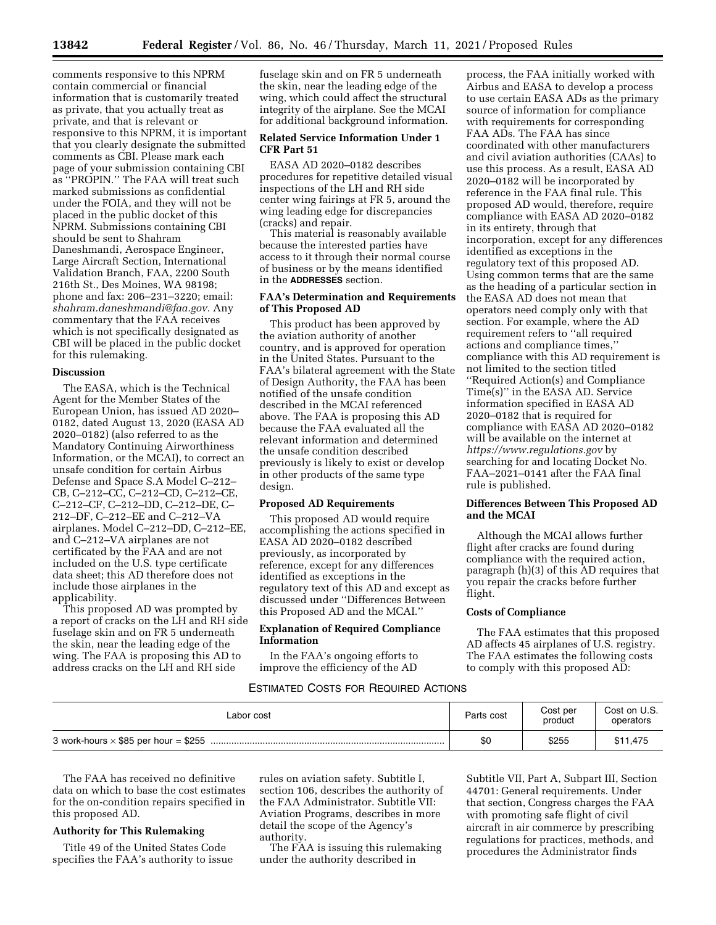comments responsive to this NPRM contain commercial or financial information that is customarily treated as private, that you actually treat as private, and that is relevant or responsive to this NPRM, it is important that you clearly designate the submitted comments as CBI. Please mark each page of your submission containing CBI as ''PROPIN.'' The FAA will treat such marked submissions as confidential under the FOIA, and they will not be placed in the public docket of this NPRM. Submissions containing CBI should be sent to Shahram Daneshmandi, Aerospace Engineer, Large Aircraft Section, International Validation Branch, FAA, 2200 South 216th St., Des Moines, WA 98198; phone and fax: 206–231–3220; email: *[shahram.daneshmandi@faa.gov.](mailto:shahram.daneshmandi@faa.gov)* Any commentary that the FAA receives which is not specifically designated as CBI will be placed in the public docket for this rulemaking.

### **Discussion**

The EASA, which is the Technical Agent for the Member States of the European Union, has issued AD 2020– 0182, dated August 13, 2020 (EASA AD 2020–0182) (also referred to as the Mandatory Continuing Airworthiness Information, or the MCAI), to correct an unsafe condition for certain Airbus Defense and Space S.A Model C–212– CB, C–212–CC, C–212–CD, C–212–CE, C–212–CF, C–212–DD, C–212–DE, C– 212–DF, C–212–EE and C–212–VA airplanes. Model C–212–DD, C–212–EE, and C–212–VA airplanes are not certificated by the FAA and are not included on the U.S. type certificate data sheet; this AD therefore does not include those airplanes in the applicability.

This proposed AD was prompted by a report of cracks on the LH and RH side fuselage skin and on FR 5 underneath the skin, near the leading edge of the wing. The FAA is proposing this AD to address cracks on the LH and RH side

fuselage skin and on FR 5 underneath the skin, near the leading edge of the wing, which could affect the structural integrity of the airplane. See the MCAI for additional background information.

## **Related Service Information Under 1 CFR Part 51**

EASA AD 2020–0182 describes procedures for repetitive detailed visual inspections of the LH and RH side center wing fairings at FR 5, around the wing leading edge for discrepancies (cracks) and repair.

This material is reasonably available because the interested parties have access to it through their normal course of business or by the means identified in the **ADDRESSES** section.

# **FAA's Determination and Requirements of This Proposed AD**

This product has been approved by the aviation authority of another country, and is approved for operation in the United States. Pursuant to the FAA's bilateral agreement with the State of Design Authority, the FAA has been notified of the unsafe condition described in the MCAI referenced above. The FAA is proposing this AD because the FAA evaluated all the relevant information and determined the unsafe condition described previously is likely to exist or develop in other products of the same type design.

## **Proposed AD Requirements**

This proposed AD would require accomplishing the actions specified in EASA AD 2020–0182 described previously, as incorporated by reference, except for any differences identified as exceptions in the regulatory text of this AD and except as discussed under ''Differences Between this Proposed AD and the MCAI.''

# **Explanation of Required Compliance Information**

In the FAA's ongoing efforts to improve the efficiency of the AD

# ESTIMATED COSTS FOR REQUIRED ACTIONS

process, the FAA initially worked with Airbus and EASA to develop a process to use certain EASA ADs as the primary source of information for compliance with requirements for corresponding FAA ADs. The FAA has since coordinated with other manufacturers and civil aviation authorities (CAAs) to use this process. As a result, EASA AD 2020–0182 will be incorporated by reference in the FAA final rule. This proposed AD would, therefore, require compliance with EASA AD 2020–0182 in its entirety, through that incorporation, except for any differences identified as exceptions in the regulatory text of this proposed AD. Using common terms that are the same as the heading of a particular section in the EASA AD does not mean that operators need comply only with that section. For example, where the AD requirement refers to ''all required actions and compliance times,'' compliance with this AD requirement is not limited to the section titled ''Required Action(s) and Compliance Time(s)'' in the EASA AD. Service information specified in EASA AD 2020–0182 that is required for compliance with EASA AD 2020–0182 will be available on the internet at *<https://www.regulations.gov>* by searching for and locating Docket No. FAA–2021–0141 after the FAA final rule is published.

## **Differences Between This Proposed AD and the MCAI**

Although the MCAI allows further flight after cracks are found during compliance with the required action, paragraph (h)(3) of this AD requires that you repair the cracks before further flight.

## **Costs of Compliance**

The FAA estimates that this proposed AD affects 45 airplanes of U.S. registry. The FAA estimates the following costs to comply with this proposed AD:

| Labor cost | Parts cost | Cost per<br>product | Cost on U.S.<br>operators |
|------------|------------|---------------------|---------------------------|
|            | \$0        | \$255               | \$11,475                  |

The FAA has received no definitive data on which to base the cost estimates for the on-condition repairs specified in this proposed AD.

## **Authority for This Rulemaking**

Title 49 of the United States Code specifies the FAA's authority to issue rules on aviation safety. Subtitle I, section 106, describes the authority of the FAA Administrator. Subtitle VII: Aviation Programs, describes in more detail the scope of the Agency's authority.

The FAA is issuing this rulemaking under the authority described in

Subtitle VII, Part A, Subpart III, Section 44701: General requirements. Under that section, Congress charges the FAA with promoting safe flight of civil aircraft in air commerce by prescribing regulations for practices, methods, and procedures the Administrator finds